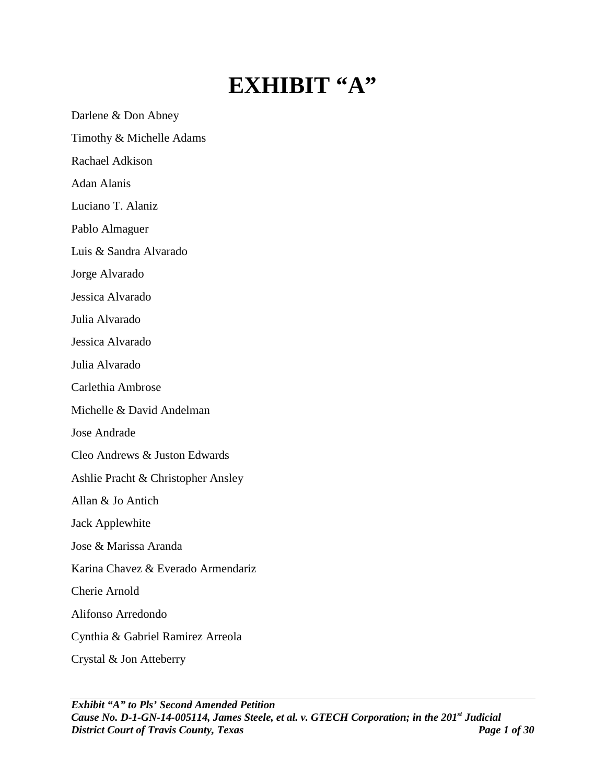## **EXHIBIT "A"**

Darlene & Don Abney

Timothy & Michelle Adams

Rachael Adkison

Adan Alanis

Luciano T. Alaniz

Pablo Almaguer

Luis & Sandra Alvarado

Jorge Alvarado

Jessica Alvarado

Julia Alvarado

Jessica Alvarado

Julia Alvarado

Carlethia Ambrose

Michelle & David Andelman

Jose Andrade

Cleo Andrews & Juston Edwards

Ashlie Pracht & Christopher Ansley

Allan & Jo Antich

Jack Applewhite

Jose & Marissa Aranda

Karina Chavez & Everado Armendariz

Cherie Arnold

Alifonso Arredondo

Cynthia & Gabriel Ramirez Arreola

Crystal & Jon Atteberry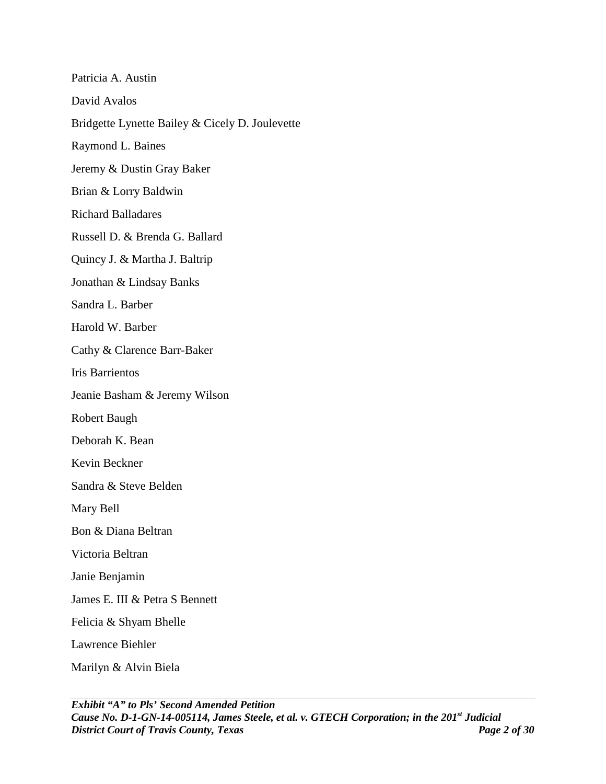| Patricia A. Austin                              |
|-------------------------------------------------|
| David Avalos                                    |
| Bridgette Lynette Bailey & Cicely D. Joulevette |
| Raymond L. Baines                               |
| Jeremy & Dustin Gray Baker                      |
| Brian & Lorry Baldwin                           |
| <b>Richard Balladares</b>                       |
| Russell D. & Brenda G. Ballard                  |
| Quincy J. & Martha J. Baltrip                   |
| Jonathan & Lindsay Banks                        |
| Sandra L. Barber                                |
| Harold W. Barber                                |
| Cathy & Clarence Barr-Baker                     |
| <b>Iris Barrientos</b>                          |
| Jeanie Basham & Jeremy Wilson                   |
| Robert Baugh                                    |
| Deborah K. Bean                                 |
| Kevin Beckner                                   |
| Sandra & Steve Belden                           |
| Mary Bell                                       |
| Bon & Diana Beltran                             |
| Victoria Beltran                                |
| Janie Benjamin                                  |
| James E. III & Petra S Bennett                  |
| Felicia & Shyam Bhelle                          |
| Lawrence Biehler                                |
| Marilyn & Alvin Biela                           |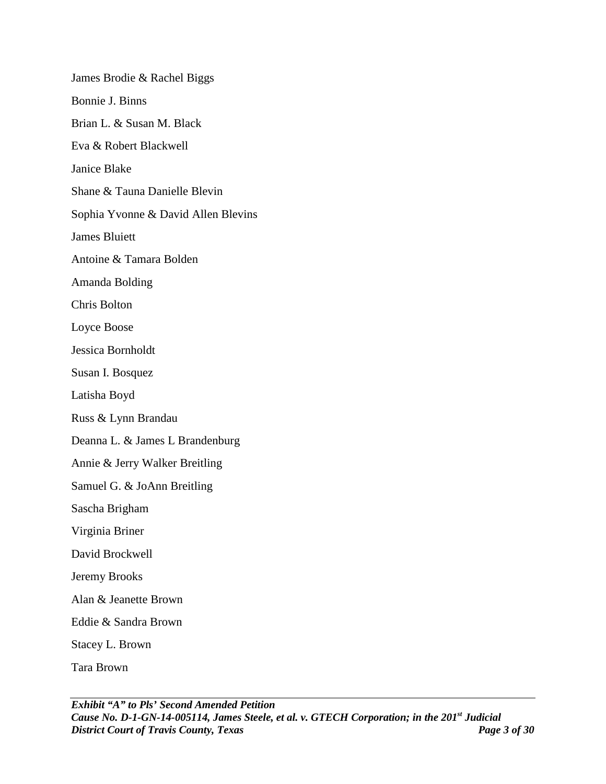James Brodie & Rachel Biggs Bonnie J. Binns Brian L. & Susan M. Black Eva & Robert Blackwell Janice Blake Shane & Tauna Danielle Blevin Sophia Yvonne & David Allen Blevins James Bluiett Antoine & Tamara Bolden Amanda Bolding Chris Bolton Loyce Boose Jessica Bornholdt Susan I. Bosquez Latisha Boyd Russ & Lynn Brandau Deanna L. & James L Brandenburg Annie & Jerry Walker Breitling Samuel G. & JoAnn Breitling Sascha Brigham Virginia Briner David Brockwell Jeremy Brooks Alan & Jeanette Brown Eddie & Sandra Brown Stacey L. Brown Tara Brown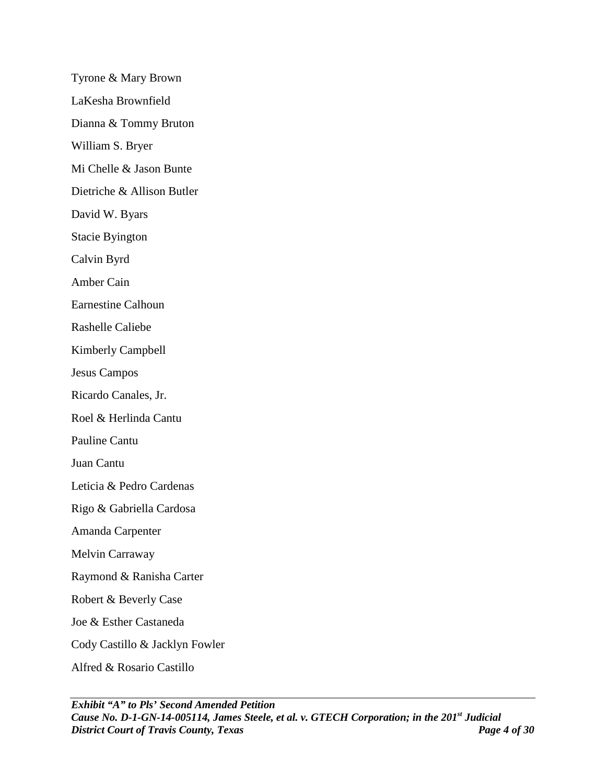Tyrone & Mary Brown LaKesha Brownfield Dianna & Tommy Bruton William S. Bryer Mi Chelle & Jason Bunte Dietriche & Allison Butler David W. Byars Stacie Byington Calvin Byrd Amber Cain Earnestine Calhoun Rashelle Caliebe Kimberly Campbell Jesus Campos Ricardo Canales, Jr. Roel & Herlinda Cantu Pauline Cantu Juan Cantu Leticia & Pedro Cardenas Rigo & Gabriella Cardosa Amanda Carpenter Melvin Carraway Raymond & Ranisha Carter Robert & Beverly Case Joe & Esther Castaneda Cody Castillo & Jacklyn Fowler

Alfred & Rosario Castillo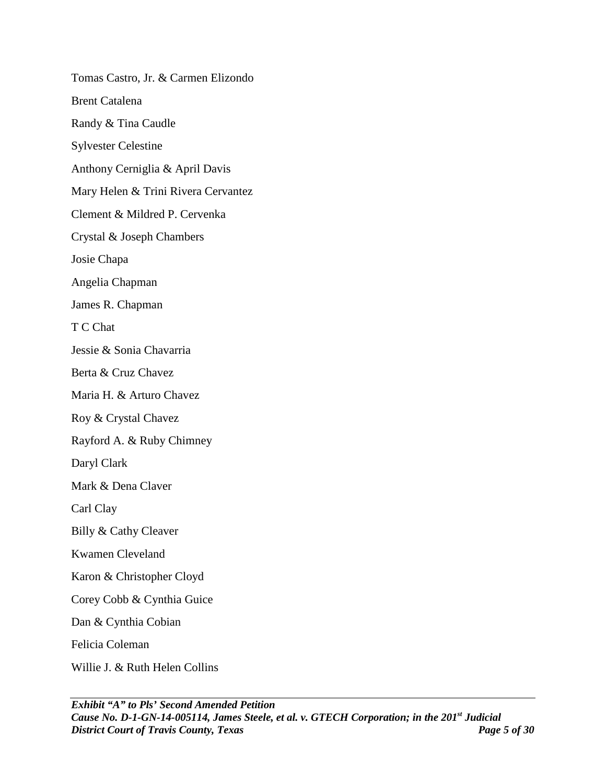Tomas Castro, Jr. & Carmen Elizondo Brent Catalena Randy & Tina Caudle Sylvester Celestine Anthony Cerniglia & April Davis Mary Helen & Trini Rivera Cervantez Clement & Mildred P. Cervenka Crystal & Joseph Chambers Josie Chapa Angelia Chapman James R. Chapman T C Chat Jessie & Sonia Chavarria Berta & Cruz Chavez Maria H. & Arturo Chavez Roy & Crystal Chavez Rayford A. & Ruby Chimney Daryl Clark Mark & Dena Claver Carl Clay Billy & Cathy Cleaver Kwamen Cleveland Karon & Christopher Cloyd Corey Cobb & Cynthia Guice Dan & Cynthia Cobian Felicia Coleman Willie J. & Ruth Helen Collins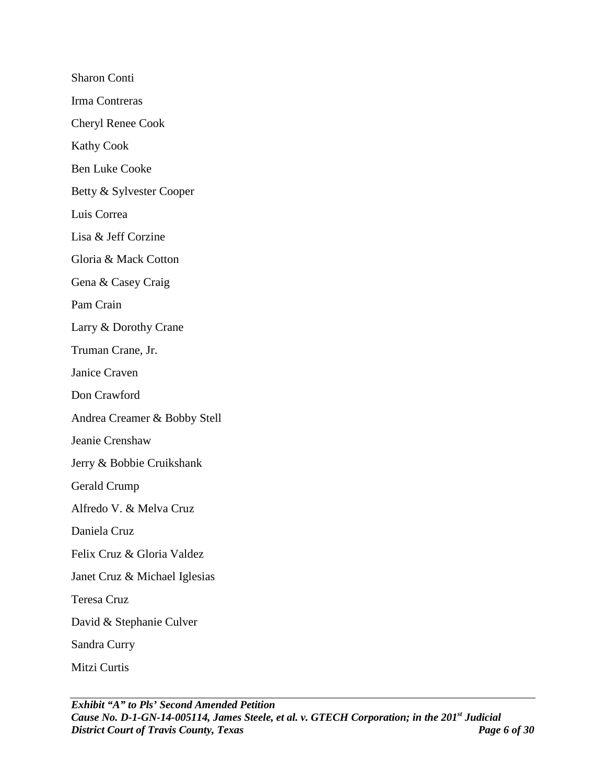Sharon Conti Irma Contreras Cheryl Renee Cook Kathy Cook Ben Luke Cooke Betty & Sylvester Cooper Luis Correa Lisa & Jeff Corzine Gloria & Mack Cotton Gena & Casey Craig Pam Crain Larry & Dorothy Crane Truman Crane, Jr. Janice Craven Don Crawford Andrea Creamer & Bobby Stell Jeanie Crenshaw Jerry & Bobbie Cruikshank Gerald Crump Alfredo V. & Melva Cruz Daniela Cruz Felix Cruz & Gloria Valdez Janet Cruz & Michael Iglesias Teresa Cruz David & Stephanie Culver Sandra Curry Mitzi Curtis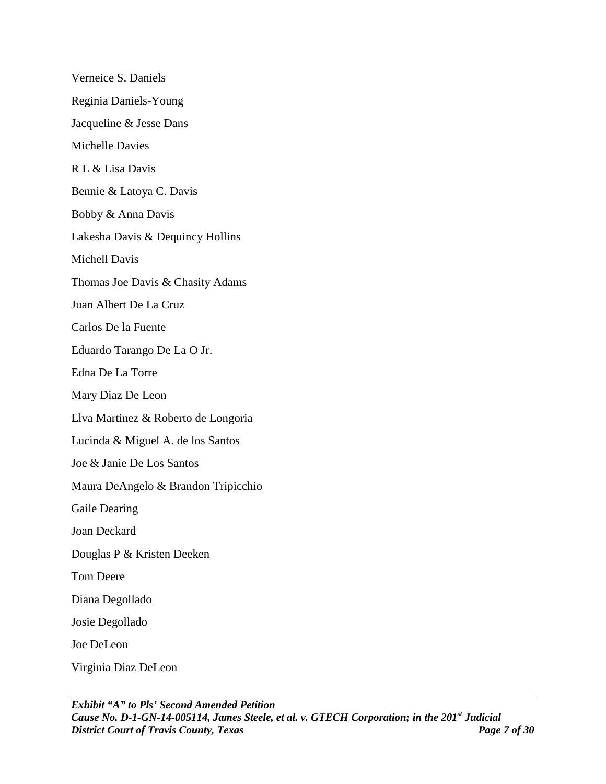Verneice S. Daniels Reginia Daniels-Young Jacqueline & Jesse Dans Michelle Davies R L & Lisa Davis Bennie & Latoya C. Davis Bobby & Anna Davis Lakesha Davis & Dequincy Hollins Michell Davis Thomas Joe Davis & Chasity Adams Juan Albert De La Cruz Carlos De la Fuente Eduardo Tarango De La O Jr. Edna De La Torre Mary Diaz De Leon Elva Martinez & Roberto de Longoria Lucinda & Miguel A. de los Santos Joe & Janie De Los Santos Maura DeAngelo & Brandon Tripicchio Gaile Dearing Joan Deckard Douglas P & Kristen Deeken Tom Deere Diana Degollado Josie Degollado Joe DeLeon Virginia Diaz DeLeon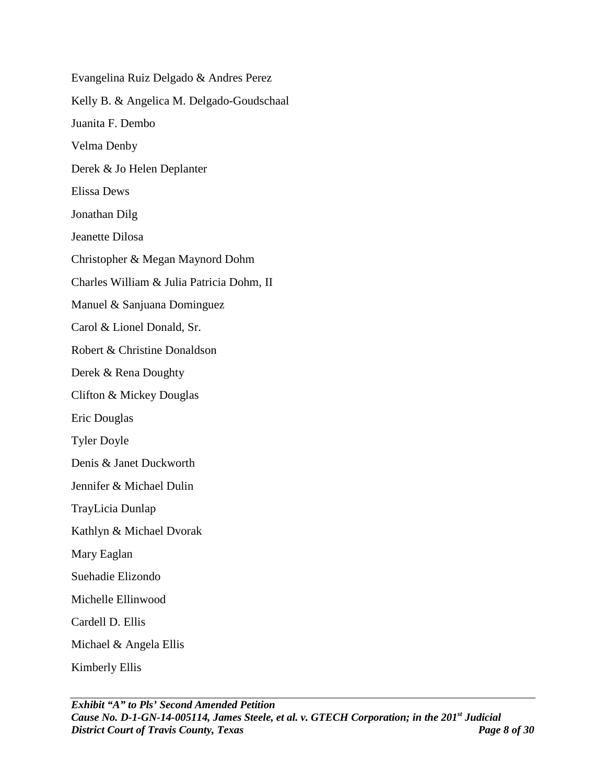Evangelina Ruiz Delgado & Andres Perez Kelly B. & Angelica M. Delgado-Goudschaal Juanita F. Dembo Velma Denby Derek & Jo Helen Deplanter Elissa Dews Jonathan Dilg Jeanette Dilosa Christopher & Megan Maynord Dohm Charles William & Julia Patricia Dohm, II Manuel & Sanjuana Dominguez Carol & Lionel Donald, Sr. Robert & Christine Donaldson Derek & Rena Doughty Clifton & Mickey Douglas Eric Douglas Tyler Doyle Denis & Janet Duckworth Jennifer & Michael Dulin TrayLicia Dunlap Kathlyn & Michael Dvorak Mary Eaglan Suehadie Elizondo Michelle Ellinwood Cardell D. Ellis Michael & Angela Ellis Kimberly Ellis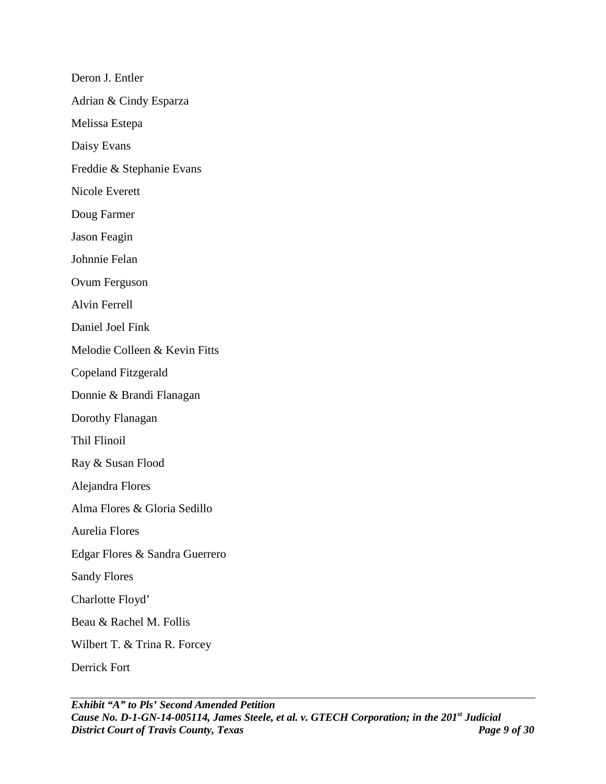Deron J. Entler Adrian & Cindy Esparza Melissa Estepa Daisy Evans Freddie & Stephanie Evans Nicole Everett Doug Farmer Jason Feagin Johnnie Felan Ovum Ferguson Alvin Ferrell Daniel Joel Fink Melodie Colleen & Kevin Fitts Copeland Fitzgerald Donnie & Brandi Flanagan Dorothy Flanagan Thil Flinoil Ray & Susan Flood Alejandra Flores Alma Flores & Gloria Sedillo Aurelia Flores Edgar Flores & Sandra Guerrero Sandy Flores Charlotte Floyd' Beau & Rachel M. Follis Wilbert T. & Trina R. Forcey Derrick Fort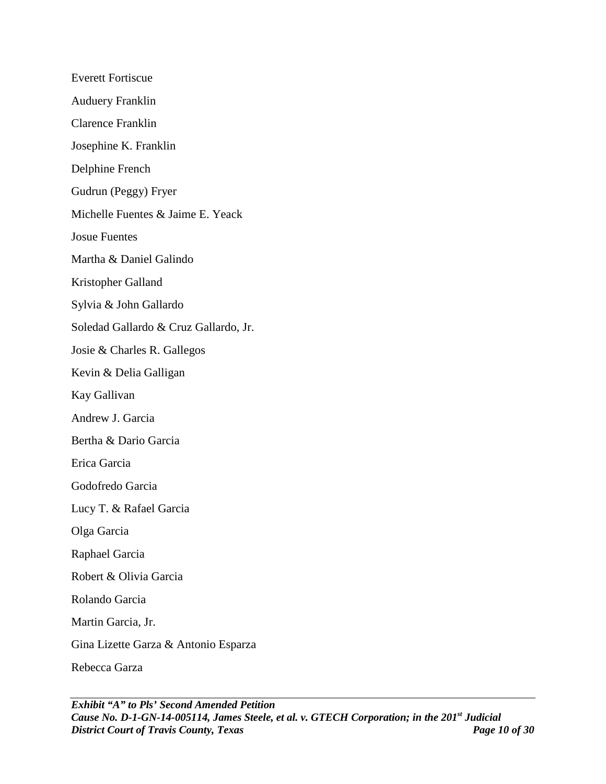Everett Fortiscue Auduery Franklin Clarence Franklin Josephine K. Franklin Delphine French Gudrun (Peggy) Fryer Michelle Fuentes & Jaime E. Yeack Josue Fuentes Martha & Daniel Galindo Kristopher Galland Sylvia & John Gallardo Soledad Gallardo & Cruz Gallardo, Jr. Josie & Charles R. Gallegos Kevin & Delia Galligan Kay Gallivan Andrew J. Garcia Bertha & Dario Garcia Erica Garcia Godofredo Garcia Lucy T. & Rafael Garcia Olga Garcia Raphael Garcia Robert & Olivia Garcia Rolando Garcia Martin Garcia, Jr. Gina Lizette Garza & Antonio Esparza Rebecca Garza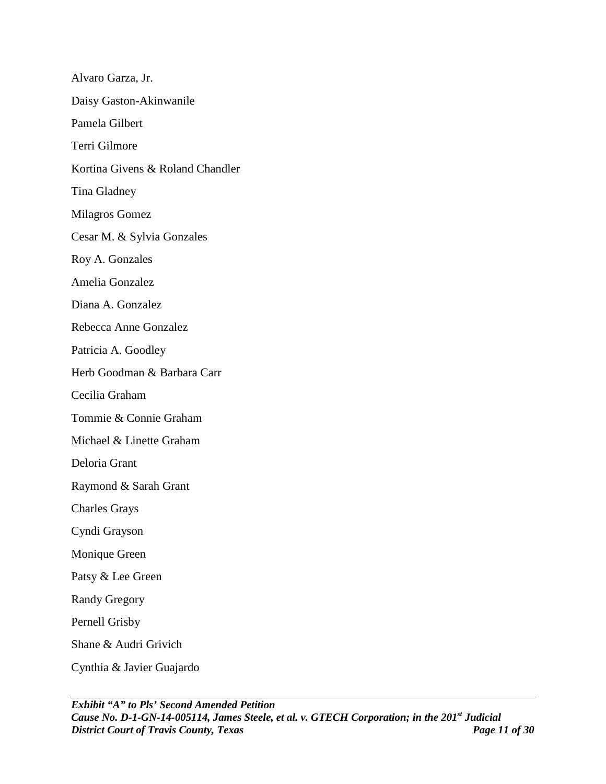Alvaro Garza, Jr. Daisy Gaston-Akinwanile Pamela Gilbert Terri Gilmore Kortina Givens & Roland Chandler Tina Gladney Milagros Gomez Cesar M. & Sylvia Gonzales Roy A. Gonzales Amelia Gonzalez Diana A. Gonzalez Rebecca Anne Gonzalez Patricia A. Goodley Herb Goodman & Barbara Carr Cecilia Graham Tommie & Connie Graham Michael & Linette Graham Deloria Grant Raymond & Sarah Grant Charles Grays Cyndi Grayson Monique Green Patsy & Lee Green Randy Gregory Pernell Grisby Shane & Audri Grivich Cynthia & Javier Guajardo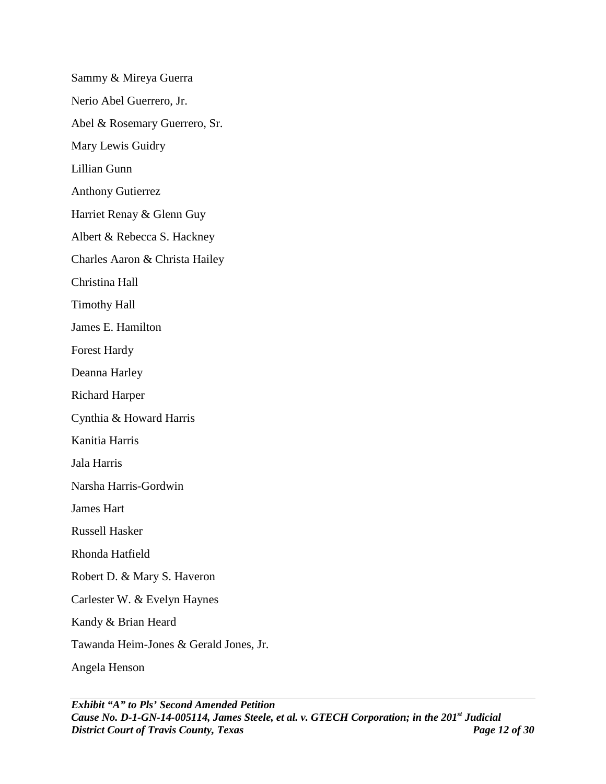Sammy & Mireya Guerra Nerio Abel Guerrero, Jr. Abel & Rosemary Guerrero, Sr. Mary Lewis Guidry Lillian Gunn Anthony Gutierrez Harriet Renay & Glenn Guy Albert & Rebecca S. Hackney Charles Aaron & Christa Hailey Christina Hall Timothy Hall James E. Hamilton Forest Hardy Deanna Harley Richard Harper Cynthia & Howard Harris Kanitia Harris Jala Harris Narsha Harris-Gordwin James Hart Russell Hasker Rhonda Hatfield Robert D. & Mary S. Haveron Carlester W. & Evelyn Haynes Kandy & Brian Heard Tawanda Heim-Jones & Gerald Jones, Jr. Angela Henson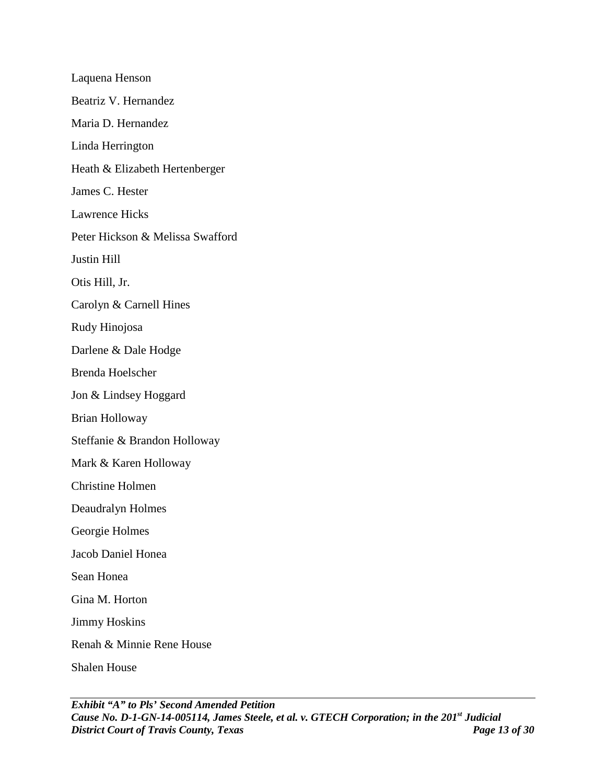Laquena Henson Beatriz V. Hernandez Maria D. Hernandez Linda Herrington Heath & Elizabeth Hertenberger James C. Hester Lawrence Hicks Peter Hickson & Melissa Swafford Justin Hill Otis Hill, Jr. Carolyn & Carnell Hines Rudy Hinojosa Darlene & Dale Hodge Brenda Hoelscher Jon & Lindsey Hoggard Brian Holloway Steffanie & Brandon Holloway Mark & Karen Holloway Christine Holmen Deaudralyn Holmes Georgie Holmes Jacob Daniel Honea Sean Honea Gina M. Horton Jimmy Hoskins Renah & Minnie Rene House Shalen House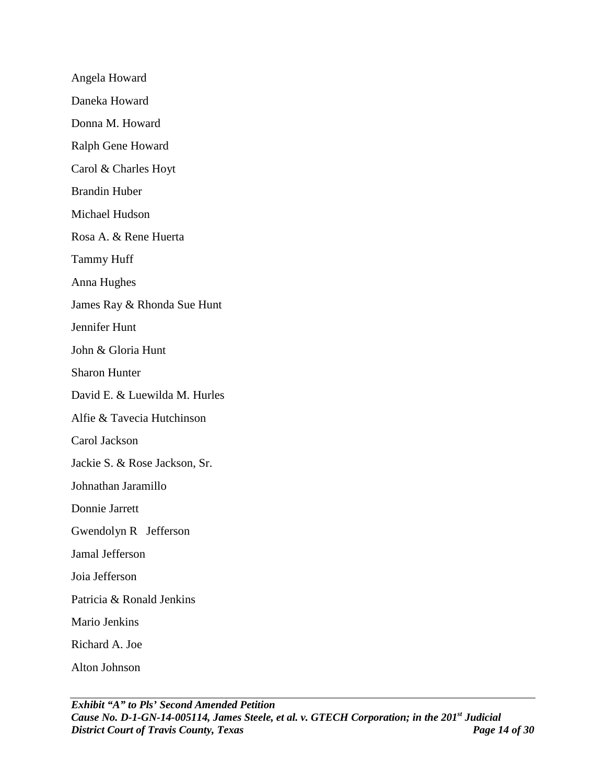Angela Howard Daneka Howard Donna M. Howard Ralph Gene Howard Carol & Charles Hoyt Brandin Huber Michael Hudson Rosa A. & Rene Huerta Tammy Huff Anna Hughes James Ray & Rhonda Sue Hunt Jennifer Hunt John & Gloria Hunt Sharon Hunter David E. & Luewilda M. Hurles Alfie & Tavecia Hutchinson Carol Jackson Jackie S. & Rose Jackson, Sr. Johnathan Jaramillo Donnie Jarrett Gwendolyn R Jefferson Jamal Jefferson Joia Jefferson Patricia & Ronald Jenkins Mario Jenkins Richard A. Joe Alton Johnson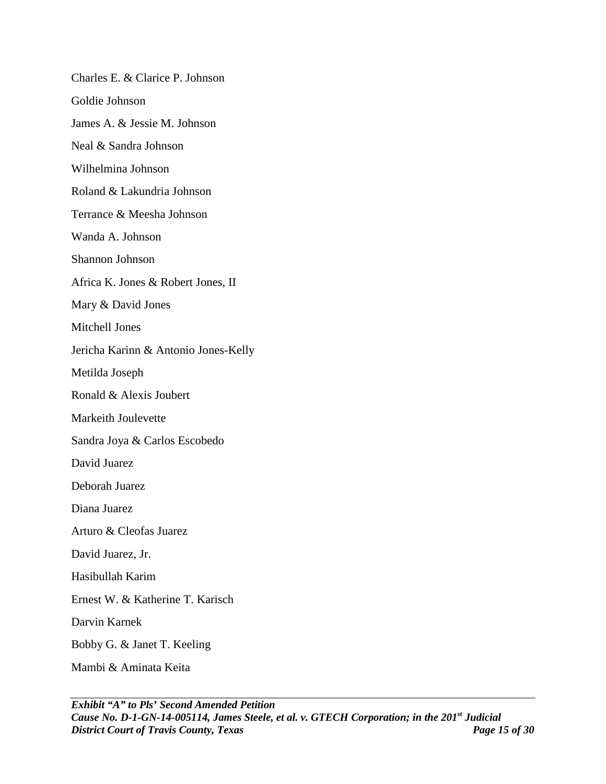Charles E. & Clarice P. Johnson Goldie Johnson James A. & Jessie M. Johnson Neal & Sandra Johnson Wilhelmina Johnson Roland & Lakundria Johnson Terrance & Meesha Johnson Wanda A. Johnson Shannon Johnson Africa K. Jones & Robert Jones, II Mary & David Jones Mitchell Jones Jericha Karinn & Antonio Jones-Kelly Metilda Joseph Ronald & Alexis Joubert Markeith Joulevette Sandra Joya & Carlos Escobedo David Juarez Deborah Juarez Diana Juarez Arturo & Cleofas Juarez David Juarez, Jr. Hasibullah Karim Ernest W. & Katherine T. Karisch Darvin Karnek Bobby G. & Janet T. Keeling Mambi & Aminata Keita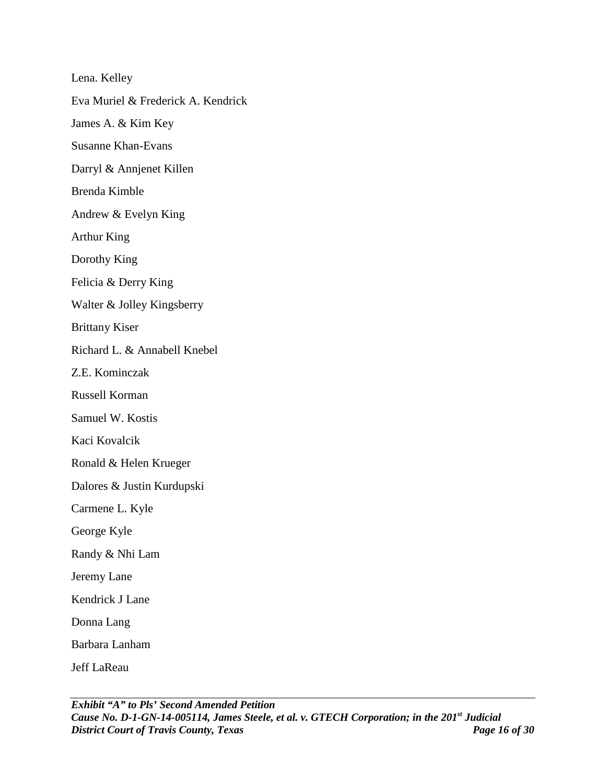Lena. Kelley Eva Muriel & Frederick A. Kendrick James A. & Kim Key Susanne Khan-Evans Darryl & Annjenet Killen Brenda Kimble Andrew & Evelyn King Arthur King Dorothy King Felicia & Derry King Walter & Jolley Kingsberry Brittany Kiser Richard L. & Annabell Knebel Z.E. Kominczak Russell Korman Samuel W. Kostis Kaci Kovalcik Ronald & Helen Krueger Dalores & Justin Kurdupski Carmene L. Kyle George Kyle Randy & Nhi Lam Jeremy Lane Kendrick J Lane Donna Lang Barbara Lanham Jeff LaReau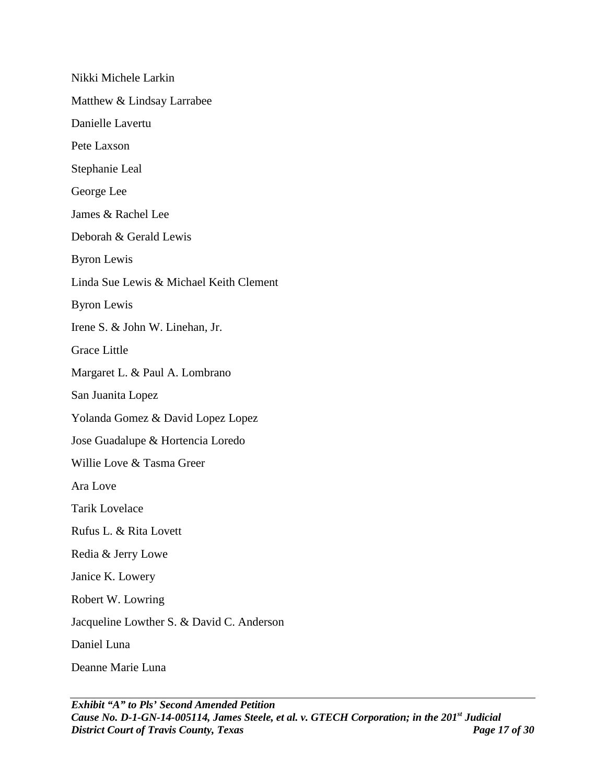Nikki Michele Larkin Matthew & Lindsay Larrabee Danielle Lavertu Pete Laxson Stephanie Leal George Lee James & Rachel Lee Deborah & Gerald Lewis Byron Lewis Linda Sue Lewis & Michael Keith Clement Byron Lewis Irene S. & John W. Linehan, Jr. Grace Little Margaret L. & Paul A. Lombrano San Juanita Lopez Yolanda Gomez & David Lopez Lopez Jose Guadalupe & Hortencia Loredo Willie Love & Tasma Greer Ara Love Tarik Lovelace Rufus L. & Rita Lovett Redia & Jerry Lowe Janice K. Lowery Robert W. Lowring Jacqueline Lowther S. & David C. Anderson Daniel Luna Deanne Marie Luna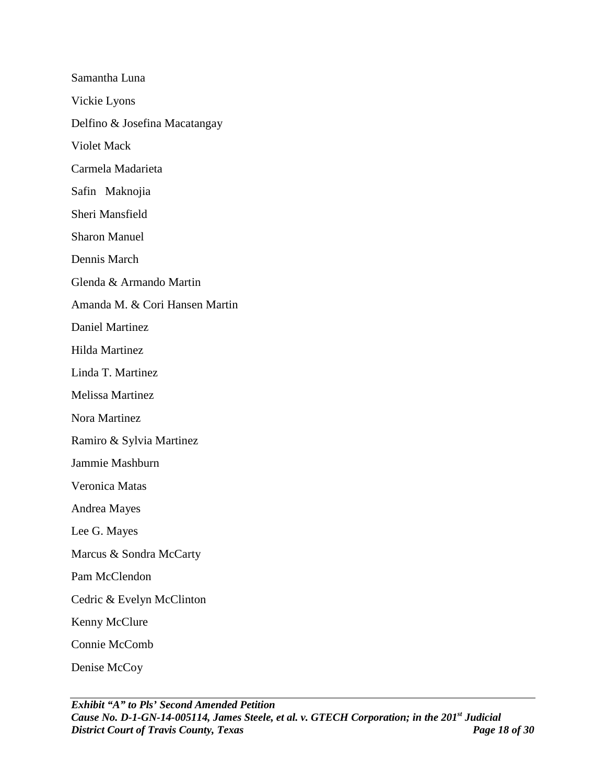Samantha Luna Vickie Lyons Delfino & Josefina Macatangay Violet Mack Carmela Madarieta Safin Maknojia Sheri Mansfield Sharon Manuel Dennis March Glenda & Armando Martin Amanda M. & Cori Hansen Martin Daniel Martinez Hilda Martinez Linda T. Martinez Melissa Martinez Nora Martinez Ramiro & Sylvia Martinez Jammie Mashburn Veronica Matas Andrea Mayes Lee G. Mayes Marcus & Sondra McCarty Pam McClendon Cedric & Evelyn McClinton Kenny McClure Connie McComb Denise McCoy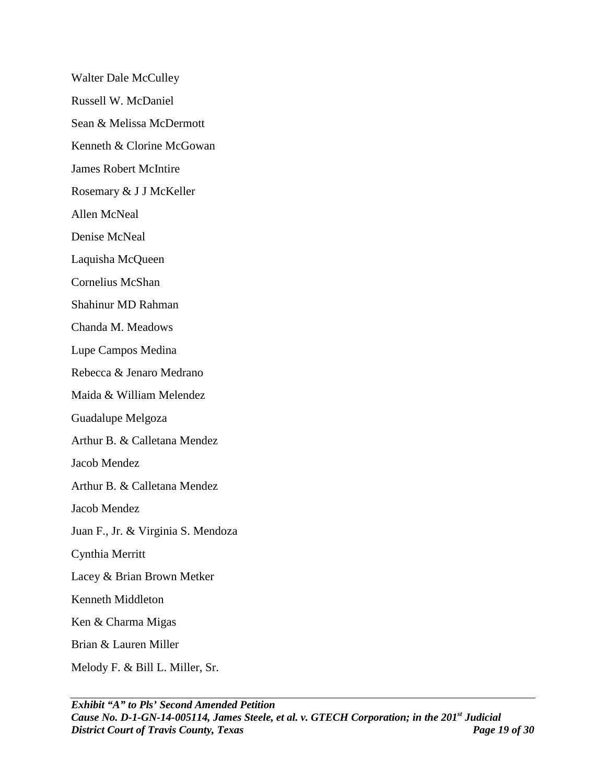Walter Dale McCulley Russell W. McDaniel Sean & Melissa McDermott Kenneth & Clorine McGowan James Robert McIntire Rosemary & J J McKeller Allen McNeal Denise McNeal Laquisha McQueen Cornelius McShan Shahinur MD Rahman Chanda M. Meadows Lupe Campos Medina Rebecca & Jenaro Medrano Maida & William Melendez Guadalupe Melgoza Arthur B. & Calletana Mendez Jacob Mendez Arthur B. & Calletana Mendez Jacob Mendez Juan F., Jr. & Virginia S. Mendoza Cynthia Merritt Lacey & Brian Brown Metker Kenneth Middleton Ken & Charma Migas Brian & Lauren Miller Melody F. & Bill L. Miller, Sr.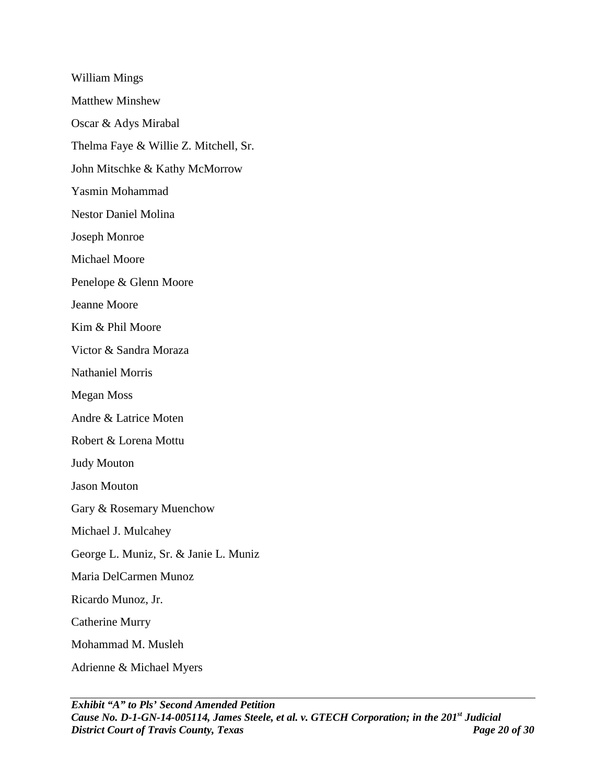William Mings Matthew Minshew Oscar & Adys Mirabal Thelma Faye & Willie Z. Mitchell, Sr. John Mitschke & Kathy McMorrow Yasmin Mohammad Nestor Daniel Molina Joseph Monroe Michael Moore Penelope & Glenn Moore Jeanne Moore Kim & Phil Moore Victor & Sandra Moraza Nathaniel Morris Megan Moss Andre & Latrice Moten Robert & Lorena Mottu Judy Mouton Jason Mouton Gary & Rosemary Muenchow Michael J. Mulcahey George L. Muniz, Sr. & Janie L. Muniz Maria DelCarmen Munoz Ricardo Munoz, Jr. Catherine Murry Mohammad M. Musleh Adrienne & Michael Myers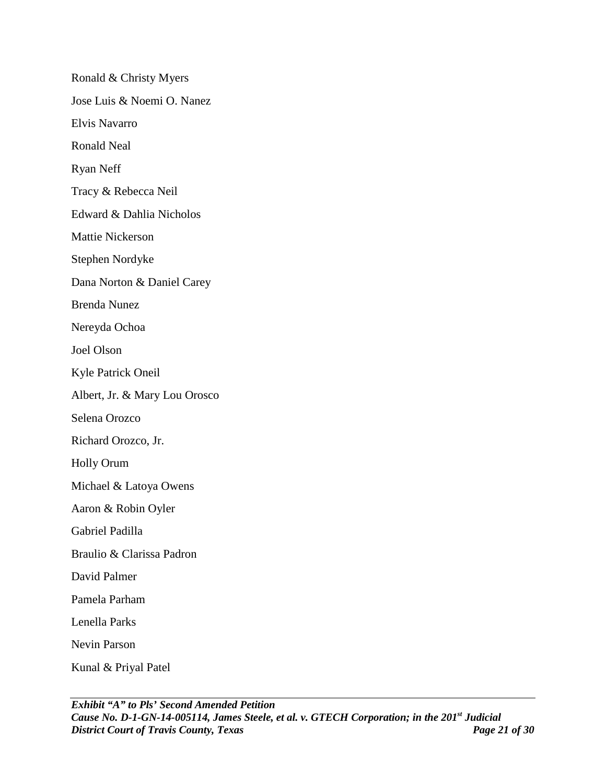Ronald & Christy Myers Jose Luis & Noemi O. Nanez Elvis Navarro Ronald Neal Ryan Neff Tracy & Rebecca Neil Edward & Dahlia Nicholos Mattie Nickerson Stephen Nordyke Dana Norton & Daniel Carey Brenda Nunez Nereyda Ochoa Joel Olson Kyle Patrick Oneil Albert, Jr. & Mary Lou Orosco Selena Orozco Richard Orozco, Jr. Holly Orum Michael & Latoya Owens Aaron & Robin Oyler Gabriel Padilla Braulio & Clarissa Padron David Palmer Pamela Parham Lenella Parks Nevin Parson Kunal & Priyal Patel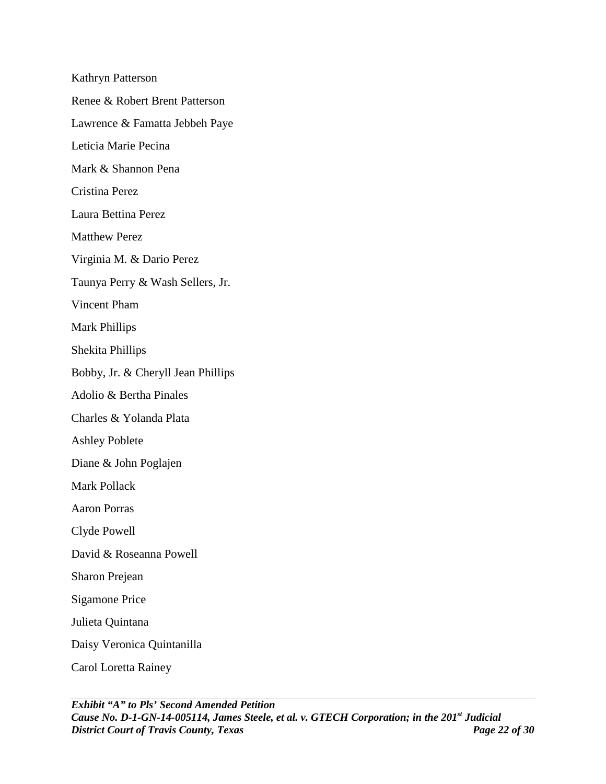Kathryn Patterson Renee & Robert Brent Patterson Lawrence & Famatta Jebbeh Paye Leticia Marie Pecina Mark & Shannon Pena Cristina Perez Laura Bettina Perez Matthew Perez Virginia M. & Dario Perez Taunya Perry & Wash Sellers, Jr. Vincent Pham Mark Phillips Shekita Phillips Bobby, Jr. & Cheryll Jean Phillips Adolio & Bertha Pinales Charles & Yolanda Plata Ashley Poblete Diane & John Poglajen Mark Pollack Aaron Porras Clyde Powell David & Roseanna Powell Sharon Prejean Sigamone Price Julieta Quintana Daisy Veronica Quintanilla Carol Loretta Rainey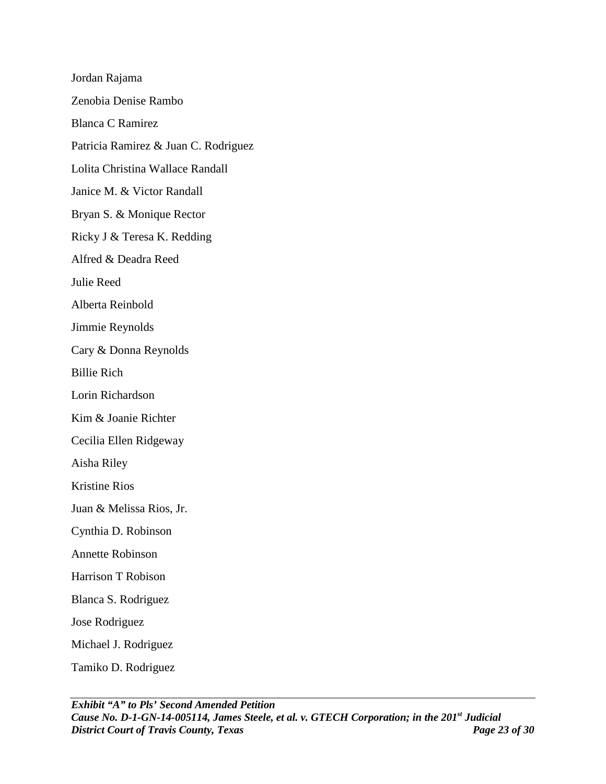Jordan Rajama Zenobia Denise Rambo Blanca C Ramirez Patricia Ramirez & Juan C. Rodriguez Lolita Christina Wallace Randall Janice M. & Victor Randall Bryan S. & Monique Rector Ricky J & Teresa K. Redding Alfred & Deadra Reed Julie Reed Alberta Reinbold Jimmie Reynolds Cary & Donna Reynolds Billie Rich Lorin Richardson Kim & Joanie Richter Cecilia Ellen Ridgeway Aisha Riley Kristine Rios Juan & Melissa Rios, Jr. Cynthia D. Robinson Annette Robinson Harrison T Robison Blanca S. Rodriguez Jose Rodriguez Michael J. Rodriguez Tamiko D. Rodriguez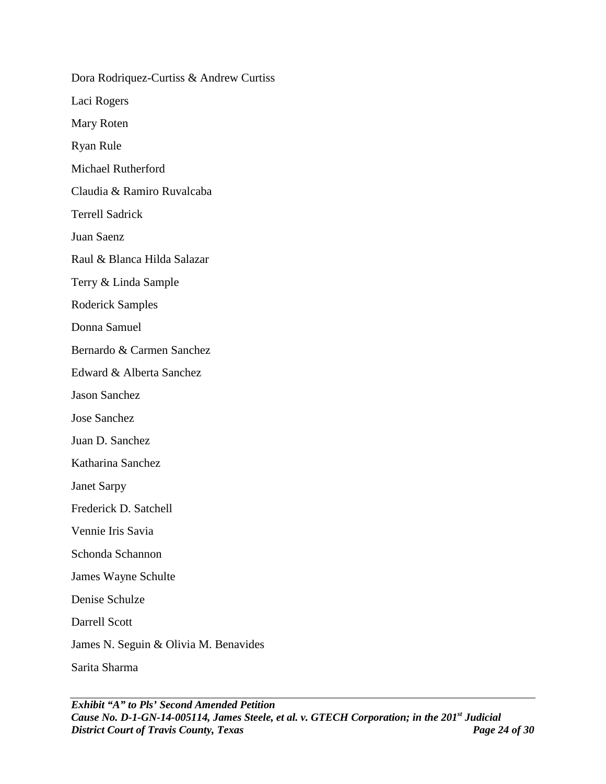Dora Rodriquez-Curtiss & Andrew Curtiss Laci Rogers Mary Roten Ryan Rule Michael Rutherford Claudia & Ramiro Ruvalcaba Terrell Sadrick Juan Saenz Raul & Blanca Hilda Salazar Terry & Linda Sample Roderick Samples Donna Samuel Bernardo & Carmen Sanchez Edward & Alberta Sanchez Jason Sanchez Jose Sanchez Juan D. Sanchez Katharina Sanchez Janet Sarpy Frederick D. Satchell Vennie Iris Savia Schonda Schannon James Wayne Schulte Denise Schulze Darrell Scott James N. Seguin & Olivia M. Benavides Sarita Sharma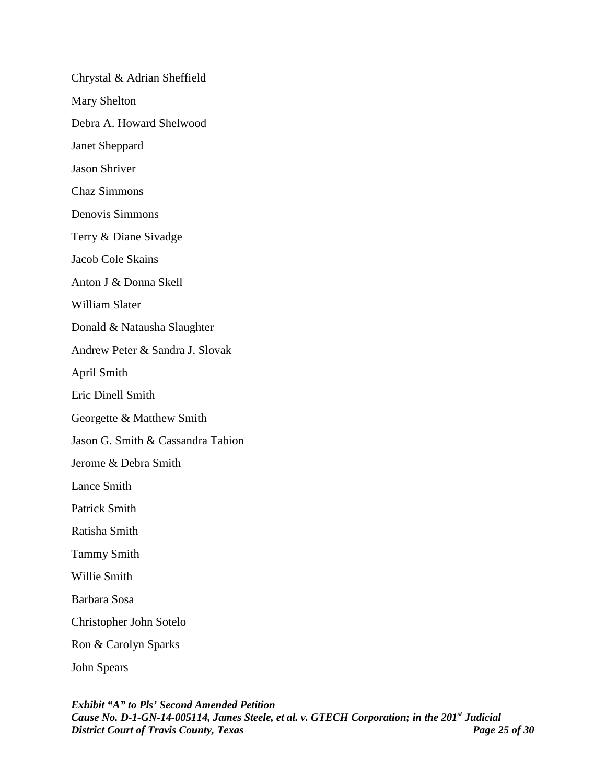Chrystal & Adrian Sheffield Mary Shelton Debra A. Howard Shelwood Janet Sheppard Jason Shriver Chaz Simmons Denovis Simmons Terry & Diane Sivadge Jacob Cole Skains Anton J & Donna Skell William Slater Donald & Natausha Slaughter Andrew Peter & Sandra J. Slovak April Smith Eric Dinell Smith Georgette & Matthew Smith Jason G. Smith & Cassandra Tabion Jerome & Debra Smith Lance Smith Patrick Smith Ratisha Smith Tammy Smith Willie Smith Barbara Sosa Christopher John Sotelo Ron & Carolyn Sparks John Spears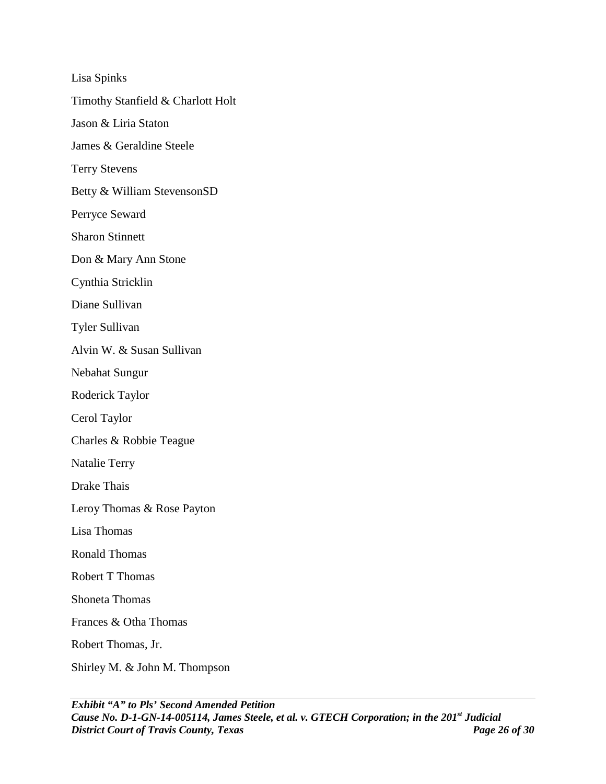Lisa Spinks Timothy Stanfield & Charlott Holt Jason & Liria Staton James & Geraldine Steele Terry Stevens Betty & William StevensonSD Perryce Seward Sharon Stinnett Don & Mary Ann Stone Cynthia Stricklin Diane Sullivan Tyler Sullivan Alvin W. & Susan Sullivan Nebahat Sungur Roderick Taylor Cerol Taylor Charles & Robbie Teague Natalie Terry Drake Thais Leroy Thomas & Rose Payton Lisa Thomas Ronald Thomas Robert T Thomas Shoneta Thomas Frances & Otha Thomas Robert Thomas, Jr. Shirley M. & John M. Thompson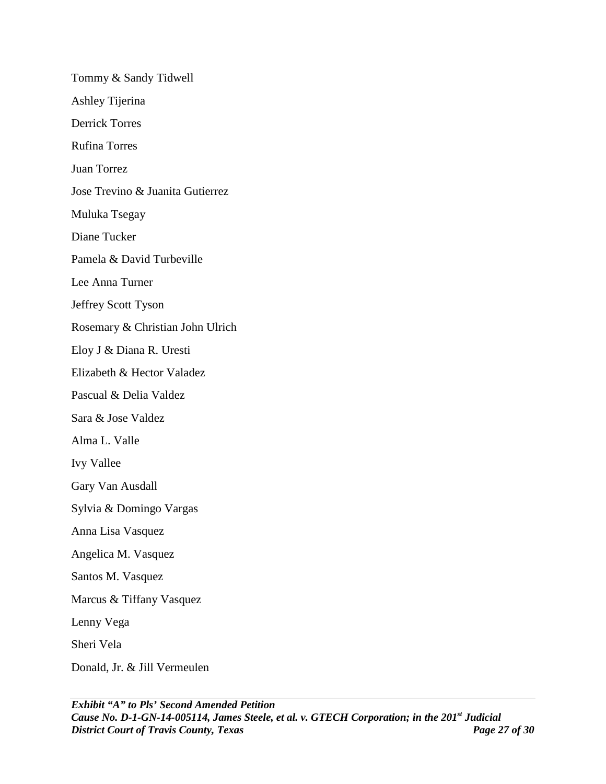Tommy & Sandy Tidwell Ashley Tijerina Derrick Torres Rufina Torres Juan Torrez Jose Trevino & Juanita Gutierrez Muluka Tsegay Diane Tucker Pamela & David Turbeville Lee Anna Turner Jeffrey Scott Tyson Rosemary & Christian John Ulrich Eloy J & Diana R. Uresti Elizabeth & Hector Valadez Pascual & Delia Valdez Sara & Jose Valdez Alma L. Valle Ivy Vallee Gary Van Ausdall Sylvia & Domingo Vargas Anna Lisa Vasquez Angelica M. Vasquez Santos M. Vasquez Marcus & Tiffany Vasquez Lenny Vega Sheri Vela Donald, Jr. & Jill Vermeulen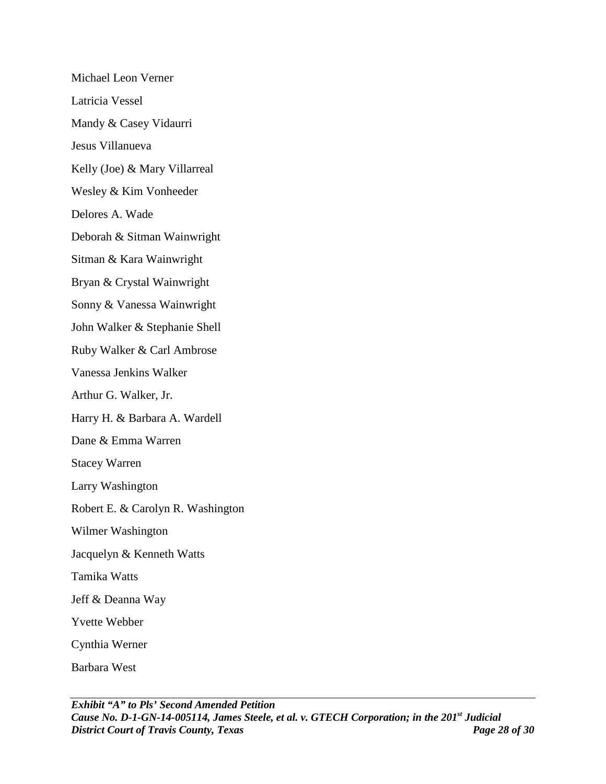Michael Leon Verner Latricia Vessel Mandy & Casey Vidaurri Jesus Villanueva Kelly (Joe) & Mary Villarreal Wesley & Kim Vonheeder Delores A. Wade Deborah & Sitman Wainwright Sitman & Kara Wainwright Bryan & Crystal Wainwright Sonny & Vanessa Wainwright John Walker & Stephanie Shell Ruby Walker & Carl Ambrose Vanessa Jenkins Walker Arthur G. Walker, Jr. Harry H. & Barbara A. Wardell Dane & Emma Warren Stacey Warren Larry Washington Robert E. & Carolyn R. Washington Wilmer Washington Jacquelyn & Kenneth Watts Tamika Watts Jeff & Deanna Way Yvette Webber Cynthia Werner Barbara West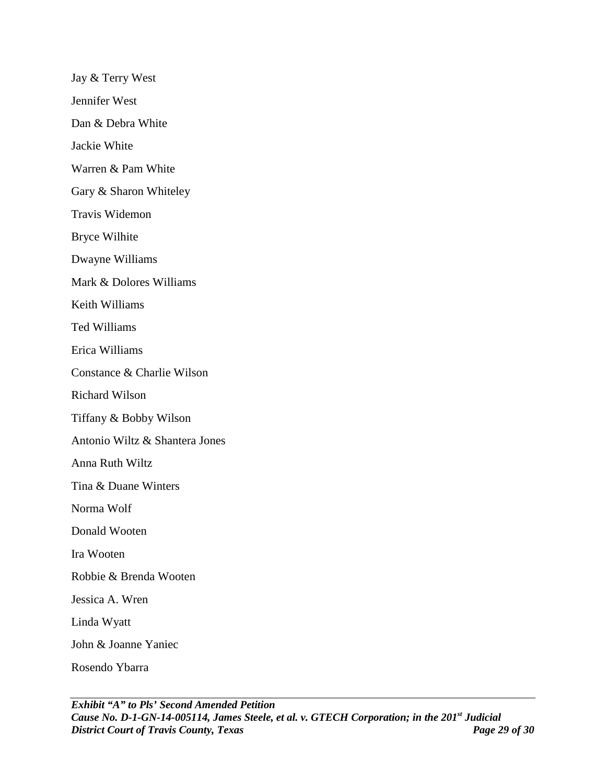Jay & Terry West Jennifer West Dan & Debra White Jackie White Warren & Pam White Gary & Sharon Whiteley Travis Widemon Bryce Wilhite Dwayne Williams Mark & Dolores Williams Keith Williams Ted Williams Erica Williams Constance & Charlie Wilson Richard Wilson Tiffany & Bobby Wilson Antonio Wiltz & Shantera Jones Anna Ruth Wiltz Tina & Duane Winters Norma Wolf Donald Wooten Ira Wooten Robbie & Brenda Wooten Jessica A. Wren Linda Wyatt John & Joanne Yaniec Rosendo Ybarra